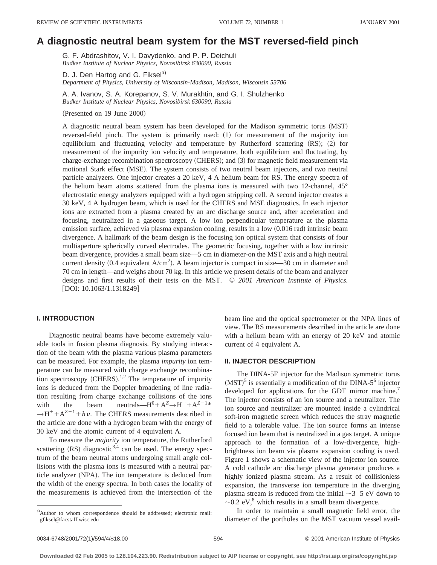# **A diagnostic neutral beam system for the MST reversed-field pinch**

G. F. Abdrashitov, V. I. Davydenko, and P. P. Deichuli *Budker Institute of Nuclear Physics, Novosibirsk 630090, Russia*

D. J. Den Hartog and G. Fiksel<sup>a)</sup> *Department of Physics, University of Wisconsin-Madison, Madison, Wisconsin 53706*

A. A. Ivanov, S. A. Korepanov, S. V. Murakhtin, and G. I. Shulzhenko *Budker Institute of Nuclear Physics, Novosibirsk 630090, Russia*

(Presented on 19 June 2000)

A diagnostic neutral beam system has been developed for the Madison symmetric torus (MST) reversed-field pinch. The system is primarily used:  $(1)$  for measurement of the majority ion equilibrium and fluctuating velocity and temperature by Rutherford scattering  $(RS)$ ;  $(2)$  for measurement of the impurity ion velocity and temperature, both equilibrium and fluctuating, by charge-exchange recombination spectroscopy (CHERS); and (3) for magnetic field measurement via motional Stark effect (MSE). The system consists of two neutral beam injectors, and two neutral particle analyzers. One injector creates a 20 keV, 4 A helium beam for RS. The energy spectra of the helium beam atoms scattered from the plasma ions is measured with two 12-channel, 45° electrostatic energy analyzers equipped with a hydrogen stripping cell. A second injector creates a 30 keV, 4 A hydrogen beam, which is used for the CHERS and MSE diagnostics. In each injector ions are extracted from a plasma created by an arc discharge source and, after acceleration and focusing, neutralized in a gaseous target. A low ion perpendicular temperature at the plasma emission surface, achieved via plasma expansion cooling, results in a low  $(0.016 \text{ rad})$  intrinsic beam divergence. A hallmark of the beam design is the focusing ion optical system that consists of four multiaperture spherically curved electrodes. The geometric focusing, together with a low intrinsic beam divergence, provides a small beam size—5 cm in diameter-on the MST axis and a high neutral current density (0.4 equivalent  $A/cm<sup>2</sup>$ ). A beam injector is compact in size—30 cm in diameter and 70 cm in length—and weighs about 70 kg. In this article we present details of the beam and analyzer designs and first results of their tests on the MST. © *2001 American Institute of Physics.* [DOI: 10.1063/1.1318249]

### **I. INTRODUCTION**

Diagnostic neutral beams have become extremely valuable tools in fusion plasma diagnosis. By studying interaction of the beam with the plasma various plasma parameters can be measured. For example, the plasma *impurity* ion temperature can be measured with charge exchange recombination spectroscopy (CHERS).<sup>1,2</sup> The temperature of impurity ions is deduced from the Doppler broadening of line radiation resulting from charge exchange collisions of the ions with the beam neutrals—H<sup>0</sup>+ $A^Z \rightarrow H^+ + A^{Z-1*}$  $\rightarrow$ H<sup>+</sup>+A<sup>Z-1</sup>+hv. The CHERS measurements described in the article are done with a hydrogen beam with the energy of 30 keV and the atomic current of 4 equivalent A.

To measure the *majority* ion temperature, the Rutherford scattering  $(RS)$  diagnostic<sup>3,4</sup> can be used. The energy spectrum of the beam neutral atoms undergoing small angle collisions with the plasma ions is measured with a neutral particle analyzer (NPA). The ion temperature is deduced from the width of the energy spectra. In both cases the locality of the measurements is achieved from the intersection of the

beam line and the optical spectrometer or the NPA lines of view. The RS measurements described in the article are done with a helium beam with an energy of 20 keV and atomic current of 4 equivalent A.

#### **II. INJECTOR DESCRIPTION**

The DINA-5F injector for the Madison symmetric torus  $(MST)^5$  is essentially a modification of the DINA-5<sup>6</sup> injector developed for applications for the GDT mirror machine.<sup>7</sup> The injector consists of an ion source and a neutralizer. The ion source and neutralizer are mounted inside a cylindrical soft-iron magnetic screen which reduces the stray magnetic field to a tolerable value. The ion source forms an intense focused ion beam that is neutralized in a gas target. A unique approach to the formation of a low-divergence, highbrightness ion beam via plasma expansion cooling is used. Figure 1 shows a schematic view of the injector ion source. A cold cathode arc discharge plasma generator produces a highly ionized plasma stream. As a result of collisionless expansion, the transverse ion temperature in the diverging plasma stream is reduced from the initial  $\sim$ 3–5 eV down to  $\sim$ 0.2 eV,<sup>8</sup> which results in a small beam divergence.

In order to maintain a small magnetic field error, the diameter of the portholes on the MST vacuum vessel avail-

a)Author to whom correspondence should be addressed; electronic mail: gfiksel@facstaff.wisc.edu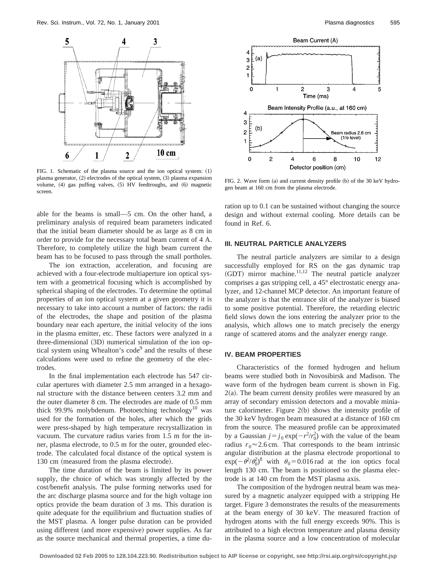

FIG. 1. Schematic of the plasma source and the ion optical system:  $(1)$ plasma generator,  $(2)$  electrodes of the optical system,  $(3)$  plasma expansion volume, (4) gas puffing valves, (5) HV feedtroughs, and (6) magnetic screen.

able for the beams is small—5 cm. On the other hand, a preliminary analysis of required beam parameters indicated that the initial beam diameter should be as large as 8 cm in order to provide for the necessary total beam current of 4 A. Therefore, to completely utilize the high beam current the beam has to be focused to pass through the small portholes.

The ion extraction, acceleration, and focusing are achieved with a four-electrode multiaperture ion optical system with a geometrical focusing which is accomplished by spherical shaping of the electrodes. To determine the optimal properties of an ion optical system at a given geometry it is necessary to take into account a number of factors: the radii of the electrodes, the shape and position of the plasma boundary near each aperture, the initial velocity of the ions in the plasma emitter, etc. These factors were analyzed in a  $three-dimensional (3D)$  numerical simulation of the ion optical system using Whealton's code<sup>9</sup> and the results of these calculations were used to refine the geometry of the electrodes.

In the final implementation each electrode has 547 circular apertures with diameter 2.5 mm arranged in a hexagonal structure with the distance between centers 3.2 mm and the outer diameter 8 cm. The electrodes are made of 0.5 mm thick 99.9% molybdenum. Photoetching technology<sup>10</sup> was used for the formation of the holes, after which the grids were press-shaped by high temperature recrystallization in vacuum. The curvature radius varies from 1.5 m for the inner, plasma electrode, to 0.5 m for the outer, grounded electrode. The calculated focal distance of the optical system is 130 cm (measured from the plasma electrode).

The time duration of the beam is limited by its power supply, the choice of which was strongly affected by the cost/benefit analysis. The pulse forming networks used for the arc discharge plasma source and for the high voltage ion optics provide the beam duration of 3 ms. This duration is quite adequate for the equilibrium and fluctuation studies of the MST plasma. A longer pulse duration can be provided using different (and more expensive) power supplies. As far as the source mechanical and thermal properties, a time du-



FIG. 2. Wave form  $(a)$  and current density profile  $(b)$  of the 30 keV hydrogen beam at 160 cm from the plasma electrode.

ration up to 0.1 can be sustained without changing the source design and without external cooling. More details can be found in Ref. 6.

#### **III. NEUTRAL PARTICLE ANALYZERS**

The neutral particle analyzers are similar to a design successfully employed for RS on the gas dynamic trap  $(GDT)$  mirror machine.<sup>11,12</sup> The neutral particle analyzer comprises a gas stripping cell, a 45° electrostatic energy analyzer, and 12-channel MCP detector. An important feature of the analyzer is that the entrance slit of the analyzer is biased to some positive potential. Therefore, the retarding electric field slows down the ions entering the analyzer prior to the analysis, which allows one to match precisely the energy range of scattered atoms and the analyzer energy range.

#### **IV. BEAM PROPERTIES**

Characteristics of the formed hydrogen and helium beams were studied both in Novosibirsk and Madison. The wave form of the hydrogen beam current is shown in Fig.  $2(a)$ . The beam current density profiles were measured by an array of secondary emission detectors and a movable miniature calorimeter. Figure  $2(b)$  shows the intensity profile of the 30 keV hydrogen beam measured at a distance of 160 cm from the source. The measured profile can be approximated by a Gaussian  $j = j_0 \exp(-r^2/r_0^2)$  with the value of the beam radius  $r_0 \approx 2.6$  cm. That corresponds to the beam intrinsic angular distribution at the plasma electrode proportional to  $\exp(-\theta^2/\theta_0^2)^8$  with  $\theta_0 = 0.016$  rad at the ion optics focal length 130 cm. The beam is positioned so the plasma electrode is at 140 cm from the MST plasma axis.

The composition of the hydrogen neutral beam was measured by a magnetic analyzer equipped with a stripping He target. Figure 3 demonstrates the results of the measurements at the beam energy of 30 keV. The measured fraction of hydrogen atoms with the full energy exceeds 90%. This is attributed to a high electron temperature and plasma density in the plasma source and a low concentration of molecular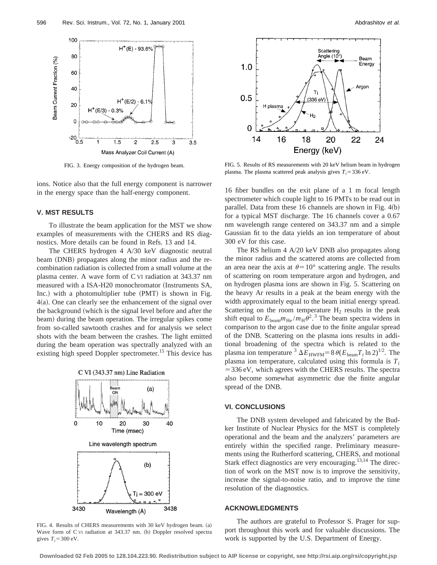

FIG. 3. Energy composition of the hydrogen beam.

ions. Notice also that the full energy component is narrower in the energy space than the half-energy component.

#### **V. MST RESULTS**

To illustrate the beam application for the MST we show examples of measurements with the CHERS and RS diagnostics. More details can be found in Refs. 13 and 14.

The CHERS hydrogen 4 A/30 keV diagnostic neutral beam (DNB) propagates along the minor radius and the recombination radiation is collected from a small volume at the plasma center. A wave form of C VI radiation at 343.37 nm measured with a ISA-H20 monochromator (Instruments SA, Inc.) with a photomultiplier tube  $(PMT)$  is shown in Fig.  $4(a)$ . One can clearly see the enhancement of the signal over the background (which is the signal level before and after the beam) during the beam operation. The irregular spikes come from so-called sawtooth crashes and for analysis we select shots with the beam between the crashes. The light emitted during the beam operation was spectrally analyzed with an existing high speed Doppler spectrometer.<sup>15</sup> This device has





FIG. 4. Results of CHERS measurements with 30 keV hydrogen beam. (a) Wave form of C VI radiation at 343.37 nm. (b) Doppler resolved spectra gives  $T_i = 300$  eV.



FIG. 5. Results of RS measurements with 20 keV helium beam in hydrogen plasma. The plasma scattered peak analysis gives  $T_i = 336 \text{ eV}$ .

16 fiber bundles on the exit plane of a 1 m focal length spectrometer which couple light to 16 PMTs to be read out in parallel. Data from these 16 channels are shown in Fig.  $4(b)$ for a typical MST discharge. The 16 channels cover a 0.67 nm wavelength range centered on 343.37 nm and a simple Gaussian fit to the data yields an ion temperature of about 300 eV for this case.

The RS helium 4 A/20 keV DNB also propagates along the minor radius and the scattered atoms are collected from an area near the axis at  $\theta=10^{\circ}$  scattering angle. The results of scattering on room temperature argon and hydrogen, and on hydrogen plasma ions are shown in Fig. 5. Scattering on the heavy Ar results in a peak at the beam energy with the width approximately equal to the beam initial energy spread. Scattering on the room temperature  $H_2$  results in the peak shift equal to  $E_{\text{beam}}m_{\text{He}}/m_{\text{H}}\theta^2$ .<sup>3</sup> The beam spectra widens in comparison to the argon case due to the finite angular spread of the DNB. Scattering on the plasma ions results in additional broadening of the spectra which is related to the plasma ion temperature <sup>3</sup>  $\Delta E_{\text{HWFM}}$ = 8  $\theta(E_{\text{beam}}T_i \ln 2)^{1/2}$ . The plasma ion temperature, calculated using this formula is  $T_i$  $=$  336 eV, which agrees with the CHERS results. The spectra also become somewhat asymmetric due the finite angular spread of the DNB.

## **VI. CONCLUSIONS**

The DNB system developed and fabricated by the Budker Institute of Nuclear Physics for the MST is completely operational and the beam and the analyzers' parameters are entirely within the specified range. Preliminary measurements using the Rutherford scattering, CHERS, and motional Stark effect diagnostics are very encouraging. $13,14$  The direction of work on the MST now is to improve the sensitivity, increase the signal-to-noise ratio, and to improve the time resolution of the diagnostics.

# **ACKNOWLEDGMENTS**

The authors are grateful to Professor S. Prager for support throughout this work and for valuable discussions. The work is supported by the U.S. Department of Energy.

**Downloaded 02 Feb 2005 to 128.104.223.90. Redistribution subject to AIP license or copyright, see http://rsi.aip.org/rsi/copyright.jsp**